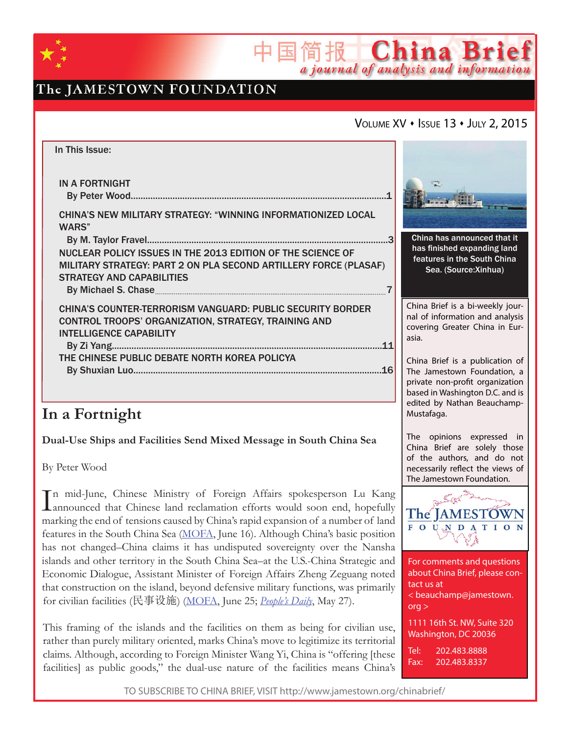

# The JAMESTOWN FOUNDATION

## VOLUME XV • ISSUE 13 • JULY 2, 2015

简报 China Brief

a journal of analysis and information

| In This Issue:                                                                                                                  |     |  |
|---------------------------------------------------------------------------------------------------------------------------------|-----|--|
| <b>IN A FORTNIGHT</b>                                                                                                           |     |  |
| CHINA'S NEW MILITARY STRATEGY: "WINNING INFORMATIONIZED LOCAL<br>WARS"                                                          |     |  |
|                                                                                                                                 |     |  |
| NUCLEAR POLICY ISSUES IN THE 2013 EDITION OF THE SCIENCE OF<br>MILITARY STRATEGY: PART 2 ON PLA SECOND ARTILLERY FORCE (PLASAF) |     |  |
| <b>STRATEGY AND CAPABILITIES</b>                                                                                                |     |  |
|                                                                                                                                 |     |  |
| <b>CHINA'S COUNTER-TERRORISM VANGUARD: PUBLIC SECURITY BORDER</b>                                                               |     |  |
| <b>CONTROL TROOPS' ORGANIZATION, STRATEGY, TRAINING AND</b><br><b>INTELLIGENCE CAPABILITY</b>                                   |     |  |
|                                                                                                                                 | 11  |  |
| THE CHINESE PUBLIC DEBATE NORTH KOREA POLICYA                                                                                   |     |  |
|                                                                                                                                 | .16 |  |
|                                                                                                                                 |     |  |

# **In a Fortnight**

### **Dual-Use Ships and Facilities Send Mixed Message in South China Sea**

By Peter Wood

In mid-June, Chinese Ministry of Foreign Affairs spokesperson Lu Kang<br>announced that Chinese land reclamation efforts would soon end, hopefully **L**announced that Chinese land reclamation efforts would soon end, hopefully marking the end of tensions caused by China's rapid expansion of a number of land features in the South China Sea (MOFA, June 16). Although China's basic position has not changed–China claims it has undisputed sovereignty over the Nansha islands and other territory in the South China Sea–at the U.S.-China Strategic and Economic Dialogue, Assistant Minister of Foreign Affairs Zheng Zeguang noted that construction on the island, beyond defensive military functions, was primarily for civilian facilities (民事设施) (MOFA, June 25; *People's Daily*, May 27).

This framing of the islands and the facilities on them as being for civilian use, rather than purely military oriented, marks China's move to legitimize its territorial claims. Although, according to Foreign Minister Wang Yi, China is "offering [these facilities] as public goods," the dual-use nature of the facilities means China's



China has announced that it has finished expanding land features in the South China Sea. (Source:Xinhua)

China Brief is a bi-weekly journal of information and analysis covering Greater China in Eurasia.

China Brief is a publication of The Jamestown Foundation, a private non-profit organization based in Washington D.C. and is edited by Nathan Beauchamp-Mustafaga.

The opinions expressed in China Brief are solely those of the authors, and do not necessarily reflect the views of The Jamestown Foundation.



For comments and questions about China Brief, please contact us at < beauchamp@jamestown. org > 1111 16th St. NW, Suite 320 Washington, DC 20036

Tel: 202.483.8888 Fax: 202.483.8337

TO SUBSCRIBE TO CHINA BRIEF, VISIT http://www.jamestown.org/chinabrief/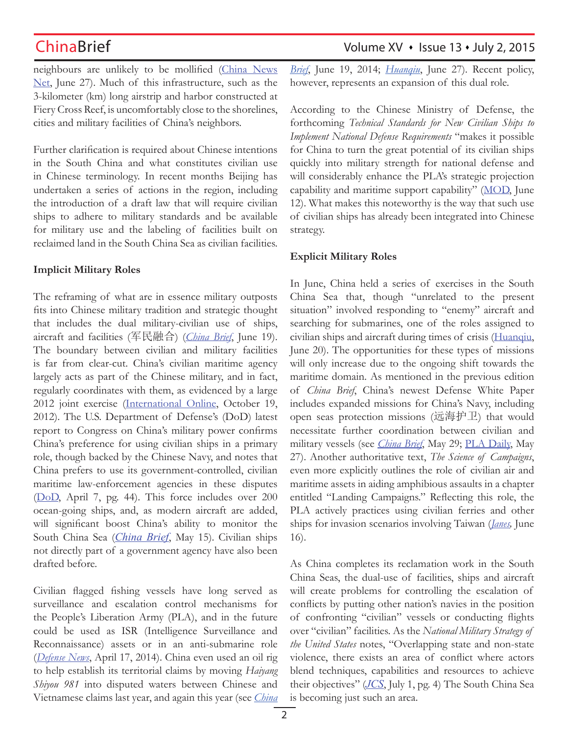neighbours are unlikely to be mollified (China News Net, June 27). Much of this infrastructure, such as the 3-kilometer (km) long airstrip and harbor constructed at Fiery Cross Reef, is uncomfortably close to the shorelines, cities and military facilities of China's neighbors.

Further clarification is required about Chinese intentions in the South China and what constitutes civilian use in Chinese terminology. In recent months Beijing has undertaken a series of actions in the region, including the introduction of a draft law that will require civilian ships to adhere to military standards and be available for military use and the labeling of facilities built on reclaimed land in the South China Sea as civilian facilities.

### **Implicit Military Roles**

The reframing of what are in essence military outposts fits into Chinese military tradition and strategic thought that includes the dual military-civilian use of ships, aircraft and facilities (军民融合) (*China Brief*, June 19). The boundary between civilian and military facilities is far from clear-cut. China's civilian maritime agency largely acts as part of the Chinese military, and in fact, regularly coordinates with them, as evidenced by a large 2012 joint exercise (International Online, October 19, 2012). The U.S. Department of Defense's (DoD) latest report to Congress on China's military power confirms China's preference for using civilian ships in a primary role, though backed by the Chinese Navy, and notes that China prefers to use its government-controlled, civilian maritime law-enforcement agencies in these disputes (DoD, April 7, pg. 44). This force includes over 200 ocean-going ships, and, as modern aircraft are added, will significant boost China's ability to monitor the South China Sea (*China Brief*, May 15). Civilian ships not directly part of a government agency have also been drafted before.

Civilian flagged fishing vessels have long served as surveillance and escalation control mechanisms for the People's Liberation Army (PLA), and in the future could be used as ISR (Intelligence Surveillance and Reconnaissance) assets or in an anti-submarine role (*Defense News*, April 17, 2014). China even used an oil rig to help establish its territorial claims by moving *Haiyang Shiyou 981* into disputed waters between Chinese and Vietnamese claims last year, and again this year (see *China* 

## ChinaBrief Volume XV • Issue 13 • July 2, 2015

*Brief*, June 19, 2014; *Huanqiu*, June 27). Recent policy, however, represents an expansion of this dual role.

According to the Chinese Ministry of Defense, the forthcoming *Technical Standards for New Civilian Ships to Implement National Defense Requirements* "makes it possible for China to turn the great potential of its civilian ships quickly into military strength for national defense and will considerably enhance the PLA's strategic projection capability and maritime support capability" (MOD, June 12). What makes this noteworthy is the way that such use of civilian ships has already been integrated into Chinese strategy.

### **Explicit Military Roles**

In June, China held a series of exercises in the South China Sea that, though "unrelated to the present situation" involved responding to "enemy" aircraft and searching for submarines, one of the roles assigned to civilian ships and aircraft during times of crisis (Huanqiu, June 20). The opportunities for these types of missions will only increase due to the ongoing shift towards the maritime domain. As mentioned in the previous edition of *China Brief*, China's newest Defense White Paper includes expanded missions for China's Navy, including open seas protection missions (远海护卫) that would necessitate further coordination between civilian and military vessels (see *China Brief*, May 29; PLA Daily, May 27). Another authoritative text, *The Science of Campaigns*, even more explicitly outlines the role of civilian air and maritime assets in aiding amphibious assaults in a chapter entitled "Landing Campaigns." Reflecting this role, the PLA actively practices using civilian ferries and other ships for invasion scenarios involving Taiwan (*Janes,* June 16).

As China completes its reclamation work in the South China Seas, the dual-use of facilities, ships and aircraft will create problems for controlling the escalation of conflicts by putting other nation's navies in the position of confronting "civilian" vessels or conducting flights over "civilian" facilities. As the *National Military Strategy of the United States* notes, "Overlapping state and non-state violence, there exists an area of conflict where actors blend techniques, capabilities and resources to achieve their objectives" (*JCS*, July 1, pg. 4) The South China Sea is becoming just such an area.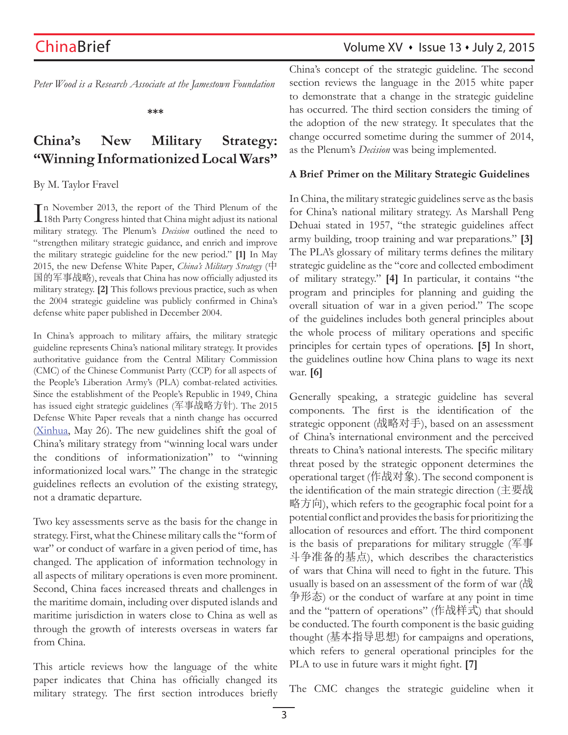*Peter Wood is a Research Associate at the Jamestown Foundation*

**\*\*\***

# **China's New Military Strategy: "Winning Informationized Local Wars"**

### By M. Taylor Fravel

In November 2013, the report of the Third Plenum of the 18th Party Congress hinted that China might adjust its national 18th Party Congress hinted that China might adjust its national military strategy. The Plenum's *Decision* outlined the need to "strengthen military strategic guidance, and enrich and improve the military strategic guideline for the new period." **[1]** In May 2015, the new Defense White Paper, *China's Military Strategy* (中 国的军事战略), reveals that China has now officially adjusted its military strategy. **[2]** This follows previous practice, such as when the 2004 strategic guideline was publicly confirmed in China's defense white paper published in December 2004.

In China's approach to military affairs, the military strategic guideline represents China's national military strategy. It provides authoritative guidance from the Central Military Commission (CMC) of the Chinese Communist Party (CCP) for all aspects of the People's Liberation Army's (PLA) combat-related activities. Since the establishment of the People's Republic in 1949, China has issued eight strategic guidelines (军事战略方针). The 2015 Defense White Paper reveals that a ninth change has occurred (Xinhua, May 26). The new guidelines shift the goal of China's military strategy from "winning local wars under the conditions of informationization" to "winning informationized local wars." The change in the strategic guidelines reflects an evolution of the existing strategy, not a dramatic departure.

Two key assessments serve as the basis for the change in strategy. First, what the Chinese military calls the "form of war" or conduct of warfare in a given period of time, has changed. The application of information technology in all aspects of military operations is even more prominent. Second, China faces increased threats and challenges in the maritime domain, including over disputed islands and maritime jurisdiction in waters close to China as well as through the growth of interests overseas in waters far from China.

This article reviews how the language of the white paper indicates that China has officially changed its military strategy. The first section introduces briefly China's concept of the strategic guideline. The second section reviews the language in the 2015 white paper to demonstrate that a change in the strategic guideline has occurred. The third section considers the timing of the adoption of the new strategy. It speculates that the change occurred sometime during the summer of 2014, as the Plenum's *Decision* was being implemented.

### **A Brief Primer on the Military Strategic Guidelines**

In China, the military strategic guidelines serve as the basis for China's national military strategy. As Marshall Peng Dehuai stated in 1957, "the strategic guidelines affect army building, troop training and war preparations." **[3]** The PLA's glossary of military terms defines the military strategic guideline as the "core and collected embodiment of military strategy." **[4]** In particular, it contains "the program and principles for planning and guiding the overall situation of war in a given period." The scope of the guidelines includes both general principles about the whole process of military operations and specific principles for certain types of operations. **[5]** In short, the guidelines outline how China plans to wage its next war. **[6]**

Generally speaking, a strategic guideline has several components. The first is the identification of the strategic opponent (战略对手), based on an assessment of China's international environment and the perceived threats to China's national interests. The specific military threat posed by the strategic opponent determines the operational target (作战对象). The second component is the identification of the main strategic direction (主要战 略方向), which refers to the geographic focal point for a potential conflict and provides the basis for prioritizing the allocation of resources and effort. The third component is the basis of preparations for military struggle (军事 斗争准备的基点), which describes the characteristics of wars that China will need to fight in the future. This usually is based on an assessment of the form of war (战 争形态) or the conduct of warfare at any point in time and the "pattern of operations" (作战样式) that should be conducted. The fourth component is the basic guiding thought (基本指导思想) for campaigns and operations, which refers to general operational principles for the PLA to use in future wars it might fight. **[7]**

The CMC changes the strategic guideline when it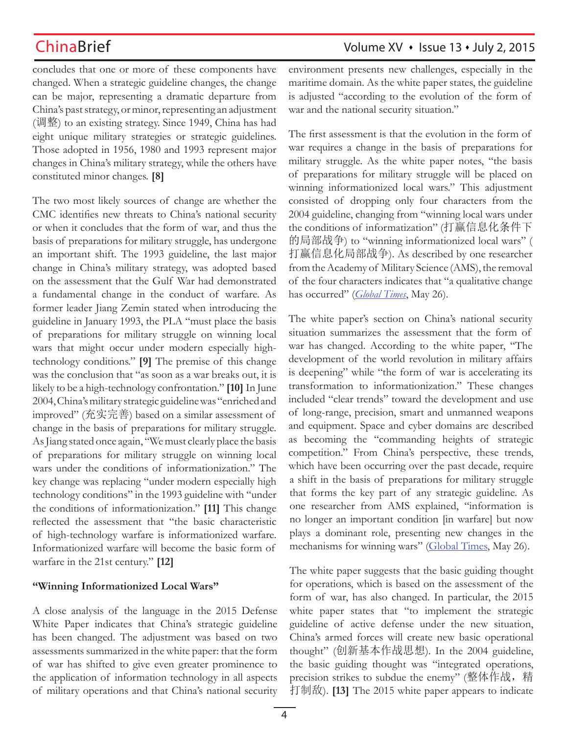concludes that one or more of these components have changed. When a strategic guideline changes, the change can be major, representing a dramatic departure from China's past strategy, or minor, representing an adjustment (调整) to an existing strategy. Since 1949, China has had eight unique military strategies or strategic guidelines. Those adopted in 1956, 1980 and 1993 represent major changes in China's military strategy, while the others have constituted minor changes. **[8]**

The two most likely sources of change are whether the CMC identifies new threats to China's national security or when it concludes that the form of war, and thus the basis of preparations for military struggle, has undergone an important shift. The 1993 guideline, the last major change in China's military strategy, was adopted based on the assessment that the Gulf War had demonstrated a fundamental change in the conduct of warfare. As former leader Jiang Zemin stated when introducing the guideline in January 1993, the PLA "must place the basis of preparations for military struggle on winning local wars that might occur under modern especially hightechnology conditions." **[9]** The premise of this change was the conclusion that "as soon as a war breaks out, it is likely to be a high-technology confrontation." **[10]** In June 2004, China's military strategic guideline was "enriched and improved" (充实完善) based on a similar assessment of change in the basis of preparations for military struggle. As Jiang stated once again, "We must clearly place the basis of preparations for military struggle on winning local wars under the conditions of informationization." The key change was replacing "under modern especially high technology conditions" in the 1993 guideline with "under the conditions of informationization." **[11]** This change reflected the assessment that "the basic characteristic of high-technology warfare is informationized warfare. Informationized warfare will become the basic form of warfare in the 21st century." **[12]**

### **"Winning Informationized Local Wars"**

A close analysis of the language in the 2015 Defense White Paper indicates that China's strategic guideline has been changed. The adjustment was based on two assessments summarized in the white paper: that the form of war has shifted to give even greater prominence to the application of information technology in all aspects of military operations and that China's national security environment presents new challenges, especially in the maritime domain. As the white paper states, the guideline is adjusted "according to the evolution of the form of war and the national security situation."

The first assessment is that the evolution in the form of war requires a change in the basis of preparations for military struggle. As the white paper notes, "the basis of preparations for military struggle will be placed on winning informationized local wars." This adjustment consisted of dropping only four characters from the 2004 guideline, changing from "winning local wars under the conditions of informatization" (打赢信息化条件下 的局部战争) to "winning informationized local wars" ( 打赢信息化局部战争). As described by one researcher from the Academy of Military Science (AMS), the removal of the four characters indicates that "a qualitative change has occurred" (*Global Times*, May 26).

The white paper's section on China's national security situation summarizes the assessment that the form of war has changed. According to the white paper, "The development of the world revolution in military affairs is deepening" while "the form of war is accelerating its transformation to informationization." These changes included "clear trends" toward the development and use of long-range, precision, smart and unmanned weapons and equipment. Space and cyber domains are described as becoming the "commanding heights of strategic competition." From China's perspective, these trends, which have been occurring over the past decade, require a shift in the basis of preparations for military struggle that forms the key part of any strategic guideline. As one researcher from AMS explained, "information is no longer an important condition [in warfare] but now plays a dominant role, presenting new changes in the mechanisms for winning wars" (Global Times, May 26).

The white paper suggests that the basic guiding thought for operations, which is based on the assessment of the form of war, has also changed. In particular, the 2015 white paper states that "to implement the strategic guideline of active defense under the new situation, China's armed forces will create new basic operational thought" (创新基本作战思想). In the 2004 guideline, the basic guiding thought was "integrated operations, precision strikes to subdue the enemy" (整体作战, 精 打制敌). **[13]** The 2015 white paper appears to indicate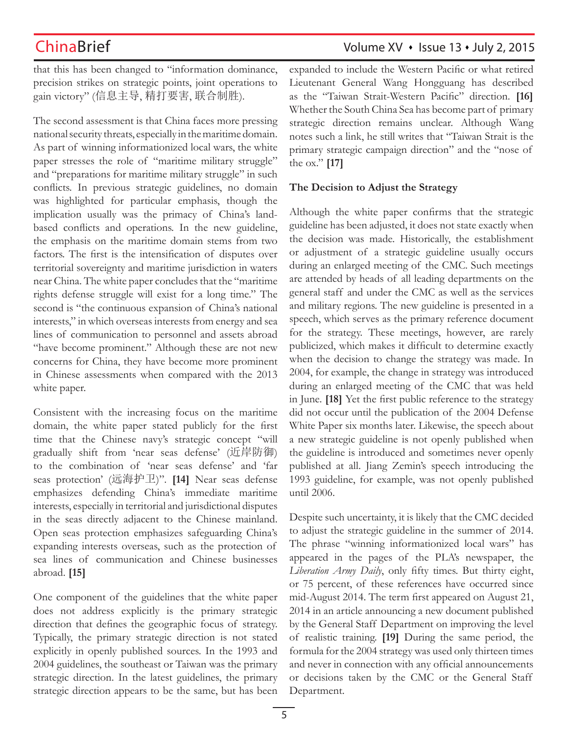that this has been changed to "information dominance, precision strikes on strategic points, joint operations to gain victory" (信息主导, 精打要害, 联合制胜).

The second assessment is that China faces more pressing national security threats, especially in the maritime domain. As part of winning informationized local wars, the white paper stresses the role of "maritime military struggle" and "preparations for maritime military struggle" in such conflicts. In previous strategic guidelines, no domain was highlighted for particular emphasis, though the implication usually was the primacy of China's landbased conflicts and operations. In the new guideline, the emphasis on the maritime domain stems from two factors. The first is the intensification of disputes over territorial sovereignty and maritime jurisdiction in waters near China. The white paper concludes that the "maritime rights defense struggle will exist for a long time." The second is "the continuous expansion of China's national interests," in which overseas interests from energy and sea lines of communication to personnel and assets abroad "have become prominent." Although these are not new concerns for China, they have become more prominent in Chinese assessments when compared with the 2013 white paper.

Consistent with the increasing focus on the maritime domain, the white paper stated publicly for the first time that the Chinese navy's strategic concept "will gradually shift from 'near seas defense' (近岸防御) to the combination of 'near seas defense' and 'far seas protection' (远海护卫)". **[14]** Near seas defense emphasizes defending China's immediate maritime interests, especially in territorial and jurisdictional disputes in the seas directly adjacent to the Chinese mainland. Open seas protection emphasizes safeguarding China's expanding interests overseas, such as the protection of sea lines of communication and Chinese businesses abroad. **[15]**

One component of the guidelines that the white paper does not address explicitly is the primary strategic direction that defines the geographic focus of strategy. Typically, the primary strategic direction is not stated explicitly in openly published sources. In the 1993 and 2004 guidelines, the southeast or Taiwan was the primary strategic direction. In the latest guidelines, the primary strategic direction appears to be the same, but has been

expanded to include the Western Pacific or what retired Lieutenant General Wang Hongguang has described as the "Taiwan Strait-Western Pacific" direction. **[16]** Whether the South China Sea has become part of primary strategic direction remains unclear. Although Wang notes such a link, he still writes that "Taiwan Strait is the primary strategic campaign direction" and the "nose of the ox." **[17]**

### **The Decision to Adjust the Strategy**

Although the white paper confirms that the strategic guideline has been adjusted, it does not state exactly when the decision was made. Historically, the establishment or adjustment of a strategic guideline usually occurs during an enlarged meeting of the CMC. Such meetings are attended by heads of all leading departments on the general staff and under the CMC as well as the services and military regions. The new guideline is presented in a speech, which serves as the primary reference document for the strategy. These meetings, however, are rarely publicized, which makes it difficult to determine exactly when the decision to change the strategy was made. In 2004, for example, the change in strategy was introduced during an enlarged meeting of the CMC that was held in June. **[18]** Yet the first public reference to the strategy did not occur until the publication of the 2004 Defense White Paper six months later. Likewise, the speech about a new strategic guideline is not openly published when the guideline is introduced and sometimes never openly published at all. Jiang Zemin's speech introducing the 1993 guideline, for example, was not openly published until 2006.

Despite such uncertainty, it is likely that the CMC decided to adjust the strategic guideline in the summer of 2014. The phrase "winning informationized local wars" has appeared in the pages of the PLA's newspaper, the *Liberation Army Daily*, only fifty times. But thirty eight, or 75 percent, of these references have occurred since mid-August 2014. The term first appeared on August 21, 2014 in an article announcing a new document published by the General Staff Department on improving the level of realistic training. **[19]** During the same period, the formula for the 2004 strategy was used only thirteen times and never in connection with any official announcements or decisions taken by the CMC or the General Staff Department.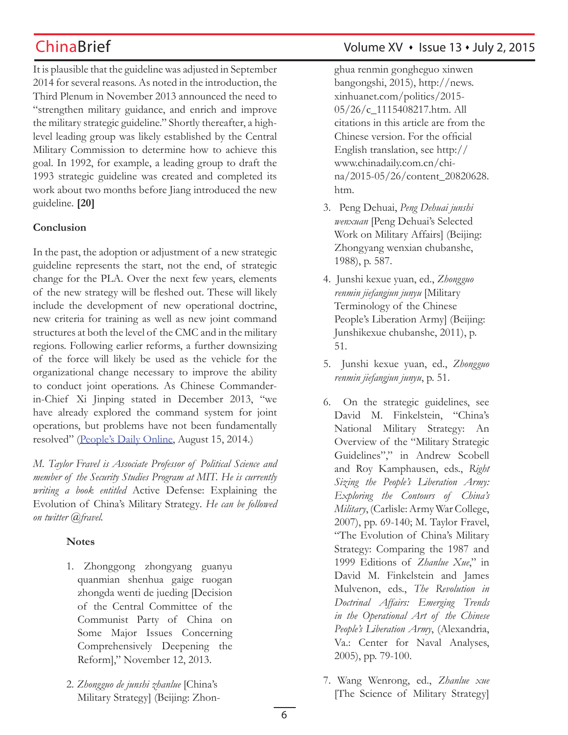It is plausible that the guideline was adjusted in September 2014 for several reasons. As noted in the introduction, the Third Plenum in November 2013 announced the need to "strengthen military guidance, and enrich and improve the military strategic guideline." Shortly thereafter, a highlevel leading group was likely established by the Central Military Commission to determine how to achieve this goal. In 1992, for example, a leading group to draft the 1993 strategic guideline was created and completed its work about two months before Jiang introduced the new guideline. **[20]**

## **Conclusion**

In the past, the adoption or adjustment of a new strategic guideline represents the start, not the end, of strategic change for the PLA. Over the next few years, elements of the new strategy will be fleshed out. These will likely include the development of new operational doctrine, new criteria for training as well as new joint command structures at both the level of the CMC and in the military regions. Following earlier reforms, a further downsizing of the force will likely be used as the vehicle for the organizational change necessary to improve the ability to conduct joint operations. As Chinese Commanderin-Chief Xi Jinping stated in December 2013, "we have already explored the command system for joint operations, but problems have not been fundamentally resolved" (People's Daily Online, August 15, 2014.)

*M. Taylor Fravel is Associate Professor of Political Science and member of the Security Studies Program at MIT. He is currently writing a book entitled* Active Defense: Explaining the Evolution of China's Military Strategy*. He can be followed on twitter @fravel.*

## **Notes**

- 1. Zhonggong zhongyang guanyu quanmian shenhua gaige ruogan zhongda wenti de jueding [Decision of the Central Committee of the Communist Party of China on Some Major Issues Concerning Comprehensively Deepening the Reform]," November 12, 2013.
- 2. *Zhongguo de junshi zhanlue* [China's Military Strategy] (Beijing: Zhon-

## ChinaBrief Volume XV • Issue 13 • July 2, 2015

ghua renmin gongheguo xinwen bangongshi, 2015), http://news. xinhuanet.com/politics/2015- 05/26/c\_1115408217.htm. All citations in this article are from the Chinese version. For the official English translation, see http:// www.chinadaily.com.cn/china/2015-05/26/content\_20820628. htm.

- 3. Peng Dehuai, *Peng Dehuai junshi wenxuan* [Peng Dehuai's Selected Work on Military Affairs] (Beijing: Zhongyang wenxian chubanshe, 1988), p. 587.
- 4. Junshi kexue yuan, ed., *Zhongguo renmin jiefangjun junyu* [Military Terminology of the Chinese People's Liberation Army] (Beijing: Junshikexue chubanshe, 2011), p. 51.
- 5. Junshi kexue yuan, ed., *Zhongguo renmin jiefangjun junyu*, p. 51.
- 6. On the strategic guidelines, see David M. Finkelstein, "China's National Military Strategy: An Overview of the "Military Strategic Guidelines"," in Andrew Scobell and Roy Kamphausen, eds., *Right Sizing the People's Liberation Army: Exploring the Contours of China's Military*, (Carlisle: Army War College, 2007), pp. 69-140; M. Taylor Fravel, "The Evolution of China's Military Strategy: Comparing the 1987 and 1999 Editions of *Zhanlue Xue*," in David M. Finkelstein and James Mulvenon, eds., *The Revolution in Doctrinal Affairs: Emerging Trends in the Operational Art of the Chinese People's Liberation Army*, (Alexandria, Va.: Center for Naval Analyses, 2005), pp. 79-100.
- 7. Wang Wenrong, ed., *Zhanlue xue* [The Science of Military Strategy]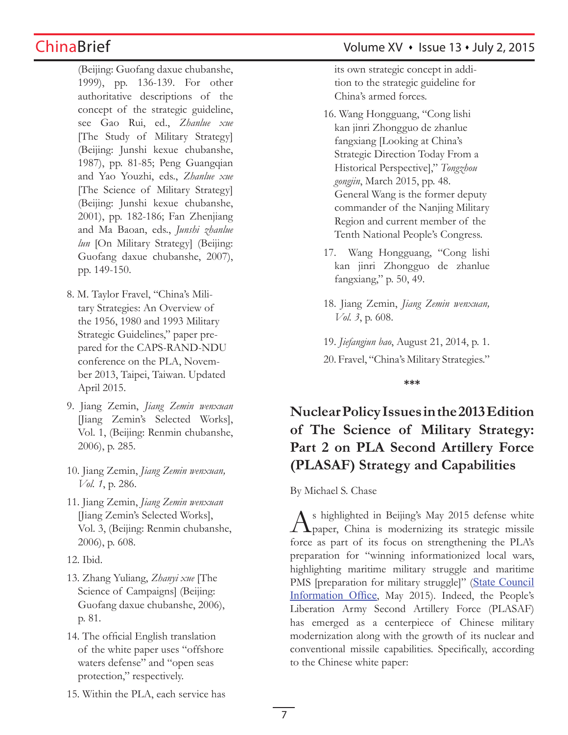(Beijing: Guofang daxue chubanshe, 1999), pp. 136-139. For other authoritative descriptions of the concept of the strategic guideline, see Gao Rui, ed., *Zhanlue xue* [The Study of Military Strategy] (Beijing: Junshi kexue chubanshe, 1987), pp. 81-85; Peng Guangqian and Yao Youzhi, eds., *Zhanlue xue* [The Science of Military Strategy] (Beijing: Junshi kexue chubanshe, 2001), pp. 182-186; Fan Zhenjiang and Ma Baoan, eds., *Junshi zhanlue lun* [On Military Strategy] (Beijing: Guofang daxue chubanshe, 2007), pp. 149-150.

- 8. M. Taylor Fravel, "China's Military Strategies: An Overview of the 1956, 1980 and 1993 Military Strategic Guidelines," paper prepared for the CAPS-RAND-NDU conference on the PLA, November 2013, Taipei, Taiwan. Updated April 2015.
- 9. Jiang Zemin, *Jiang Zemin wenxuan* [Jiang Zemin's Selected Works], Vol. 1, (Beijing: Renmin chubanshe, 2006), p. 285.
- 10. Jiang Zemin, *Jiang Zemin wenxuan, Vol. 1*, p. 286.
- 11. Jiang Zemin, *Jiang Zemin wenxuan* [Jiang Zemin's Selected Works], Vol. 3, (Beijing: Renmin chubanshe, 2006), p. 608.
- 12. Ibid.
- 13. Zhang Yuliang, *Zhanyi xue* [The Science of Campaigns] (Beijing: Guofang daxue chubanshe, 2006), p. 81.
- 14. The official English translation of the white paper uses "offshore waters defense" and "open seas protection," respectively.

its own strategic concept in addition to the strategic guideline for China's armed forces.

- 16. Wang Hongguang, "Cong lishi kan jinri Zhongguo de zhanlue fangxiang [Looking at China's Strategic Direction Today From a Historical Perspective]," *Tongzhou gongjin*, March 2015, pp. 48. General Wang is the former deputy commander of the Nanjing Military Region and current member of the Tenth National People's Congress.
- 17. Wang Hongguang, "Cong lishi kan jinri Zhongguo de zhanlue fangxiang," p. 50, 49.
- 18. Jiang Zemin, *Jiang Zemin wenxuan, Vol. 3*, p. 608.

19. *Jiefangjun bao*, August 21, 2014, p. 1.

20. Fravel, "China's Military Strategies."

**\*\*\***

# **Nuclear Policy Issues in the 2013 Edition of The Science of Military Strategy: Part 2 on PLA Second Artillery Force (PLASAF) Strategy and Capabilities**

By Michael S. Chase

s highlighted in Beijing's May 2015 defense white  $\perp$  **L** paper, China is modernizing its strategic missile force as part of its focus on strengthening the PLA's preparation for "winning informationized local wars, highlighting maritime military struggle and maritime PMS [preparation for military struggle]" (State Council Information Office, May 2015). Indeed, the People's Liberation Army Second Artillery Force (PLASAF) has emerged as a centerpiece of Chinese military modernization along with the growth of its nuclear and conventional missile capabilities. Specifically, according to the Chinese white paper:

15. Within the PLA, each service has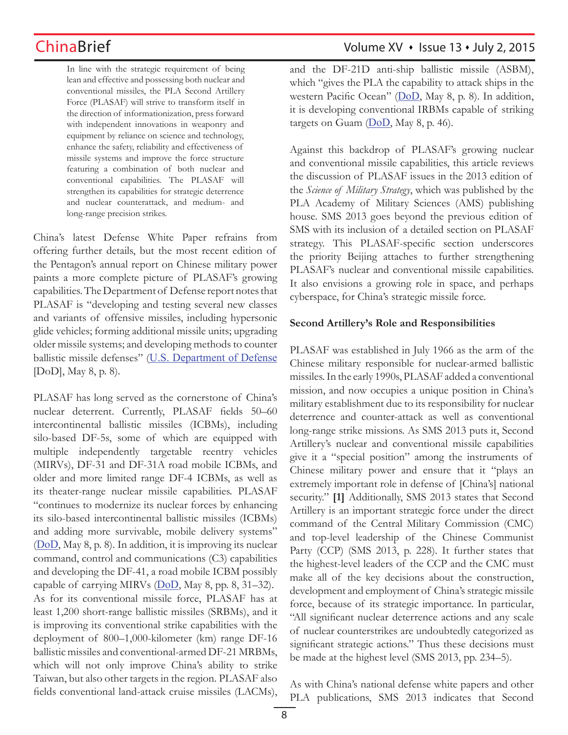In line with the strategic requirement of being lean and effective and possessing both nuclear and conventional missiles, the PLA Second Artillery Force (PLASAF) will strive to transform itself in the direction of informationization, press forward with independent innovations in weaponry and equipment by reliance on science and technology, enhance the safety, reliability and effectiveness of missile systems and improve the force structure featuring a combination of both nuclear and conventional capabilities. The PLASAF will strengthen its capabilities for strategic deterrence and nuclear counterattack, and medium- and long-range precision strikes.

China's latest Defense White Paper refrains from offering further details, but the most recent edition of the Pentagon's annual report on Chinese military power paints a more complete picture of PLASAF's growing capabilities. The Department of Defense report notes that PLASAF is "developing and testing several new classes and variants of offensive missiles, including hypersonic glide vehicles; forming additional missile units; upgrading older missile systems; and developing methods to counter ballistic missile defenses" (U.S. Department of Defense [DoD], May 8, p. 8).

PLASAF has long served as the cornerstone of China's nuclear deterrent. Currently, PLASAF fields 50–60 intercontinental ballistic missiles (ICBMs), including silo-based DF-5s, some of which are equipped with multiple independently targetable reentry vehicles (MIRVs), DF-31 and DF-31A road mobile ICBMs, and older and more limited range DF-4 ICBMs, as well as its theater-range nuclear missile capabilities. PLASAF "continues to modernize its nuclear forces by enhancing its silo-based intercontinental ballistic missiles (ICBMs) and adding more survivable, mobile delivery systems" (DoD, May 8, p. 8). In addition, it is improving its nuclear command, control and communications (C3) capabilities and developing the DF-41, a road mobile ICBM possibly capable of carrying MIRVs  $(DoD, May 8, pp. 8, 31–32)$ . As for its conventional missile force, PLASAF has at least 1,200 short-range ballistic missiles (SRBMs), and it is improving its conventional strike capabilities with the deployment of 800–1,000-kilometer (km) range DF-16 ballistic missiles and conventional-armed DF-21 MRBMs, which will not only improve China's ability to strike Taiwan, but also other targets in the region. PLASAF also fields conventional land-attack cruise missiles (LACMs),

## ChinaBrief Volume XV • Issue 13 • July 2, 2015

and the DF-21D anti-ship ballistic missile (ASBM), which "gives the PLA the capability to attack ships in the western Pacific Ocean" (DoD, May 8, p. 8). In addition, it is developing conventional IRBMs capable of striking targets on Guam (DoD, May 8, p. 46).

Against this backdrop of PLASAF's growing nuclear and conventional missile capabilities, this article reviews the discussion of PLASAF issues in the 2013 edition of the *Science of Military Strategy*, which was published by the PLA Academy of Military Sciences (AMS) publishing house. SMS 2013 goes beyond the previous edition of SMS with its inclusion of a detailed section on PLASAF strategy. This PLASAF-specific section underscores the priority Beijing attaches to further strengthening PLASAF's nuclear and conventional missile capabilities. It also envisions a growing role in space, and perhaps cyberspace, for China's strategic missile force.

### **Second Artillery's Role and Responsibilities**

PLASAF was established in July 1966 as the arm of the Chinese military responsible for nuclear-armed ballistic missiles. In the early 1990s, PLASAF added a conventional mission, and now occupies a unique position in China's military establishment due to its responsibility for nuclear deterrence and counter-attack as well as conventional long-range strike missions. As SMS 2013 puts it, Second Artillery's nuclear and conventional missile capabilities give it a "special position" among the instruments of Chinese military power and ensure that it "plays an extremely important role in defense of [China's] national security." **[1]** Additionally, SMS 2013 states that Second Artillery is an important strategic force under the direct command of the Central Military Commission (CMC) and top-level leadership of the Chinese Communist Party (CCP) (SMS 2013, p. 228). It further states that the highest-level leaders of the CCP and the CMC must make all of the key decisions about the construction, development and employment of China's strategic missile force, because of its strategic importance. In particular, "All significant nuclear deterrence actions and any scale of nuclear counterstrikes are undoubtedly categorized as significant strategic actions." Thus these decisions must be made at the highest level (SMS 2013, pp. 234–5).

As with China's national defense white papers and other PLA publications, SMS 2013 indicates that Second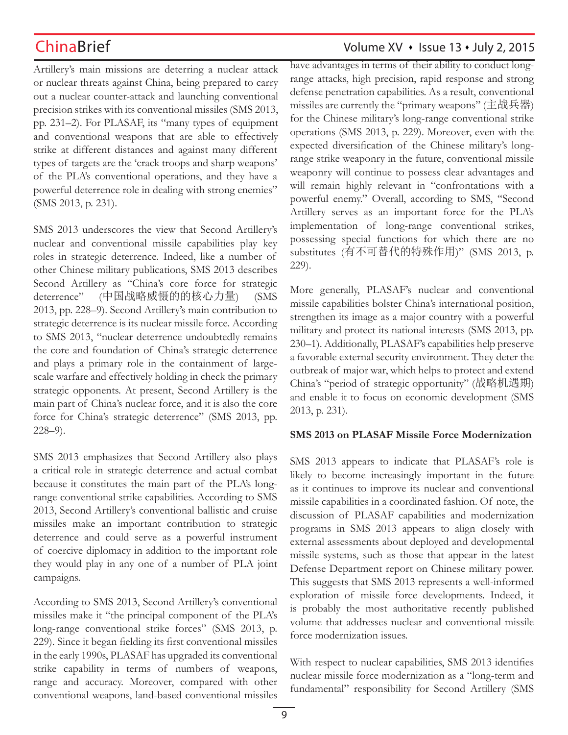Artillery's main missions are deterring a nuclear attack or nuclear threats against China, being prepared to carry out a nuclear counter-attack and launching conventional precision strikes with its conventional missiles (SMS 2013, pp. 231–2). For PLASAF, its "many types of equipment and conventional weapons that are able to effectively strike at different distances and against many different types of targets are the 'crack troops and sharp weapons' of the PLA's conventional operations, and they have a powerful deterrence role in dealing with strong enemies" (SMS 2013, p. 231).

SMS 2013 underscores the view that Second Artillery's nuclear and conventional missile capabilities play key roles in strategic deterrence. Indeed, like a number of other Chinese military publications, SMS 2013 describes Second Artillery as "China's core force for strategic deterrence" (中国战略威慑的的核心力量) (SMS 2013, pp. 228–9). Second Artillery's main contribution to strategic deterrence is its nuclear missile force. According to SMS 2013, "nuclear deterrence undoubtedly remains the core and foundation of China's strategic deterrence and plays a primary role in the containment of largescale warfare and effectively holding in check the primary strategic opponents. At present, Second Artillery is the main part of China's nuclear force, and it is also the core force for China's strategic deterrence" (SMS 2013, pp. 228–9).

SMS 2013 emphasizes that Second Artillery also plays a critical role in strategic deterrence and actual combat because it constitutes the main part of the PLA's longrange conventional strike capabilities. According to SMS 2013, Second Artillery's conventional ballistic and cruise missiles make an important contribution to strategic deterrence and could serve as a powerful instrument of coercive diplomacy in addition to the important role they would play in any one of a number of PLA joint campaigns.

According to SMS 2013, Second Artillery's conventional missiles make it "the principal component of the PLA's long-range conventional strike forces" (SMS 2013, p. 229). Since it began fielding its first conventional missiles in the early 1990s, PLASAF has upgraded its conventional strike capability in terms of numbers of weapons, range and accuracy. Moreover, compared with other conventional weapons, land-based conventional missiles

# ChinaBrief Volume XV · Issue 13 · July 2, 2015

have advantages in terms of their ability to conduct longrange attacks, high precision, rapid response and strong defense penetration capabilities. As a result, conventional missiles are currently the "primary weapons" (主战兵器) for the Chinese military's long-range conventional strike operations (SMS 2013, p. 229). Moreover, even with the expected diversification of the Chinese military's longrange strike weaponry in the future, conventional missile weaponry will continue to possess clear advantages and will remain highly relevant in "confrontations with a powerful enemy." Overall, according to SMS, "Second Artillery serves as an important force for the PLA's implementation of long-range conventional strikes, possessing special functions for which there are no substitutes (有不可替代的特殊作用)" (SMS 2013, p. 229).

More generally, PLASAF's nuclear and conventional missile capabilities bolster China's international position, strengthen its image as a major country with a powerful military and protect its national interests (SMS 2013, pp. 230–1). Additionally, PLASAF's capabilities help preserve a favorable external security environment. They deter the outbreak of major war, which helps to protect and extend China's "period of strategic opportunity" (战略机遇期) and enable it to focus on economic development (SMS 2013, p. 231).

### **SMS 2013 on PLASAF Missile Force Modernization**

SMS 2013 appears to indicate that PLASAF's role is likely to become increasingly important in the future as it continues to improve its nuclear and conventional missile capabilities in a coordinated fashion. Of note, the discussion of PLASAF capabilities and modernization programs in SMS 2013 appears to align closely with external assessments about deployed and developmental missile systems, such as those that appear in the latest Defense Department report on Chinese military power. This suggests that SMS 2013 represents a well-informed exploration of missile force developments. Indeed, it is probably the most authoritative recently published volume that addresses nuclear and conventional missile force modernization issues.

With respect to nuclear capabilities, SMS 2013 identifies nuclear missile force modernization as a "long-term and fundamental" responsibility for Second Artillery (SMS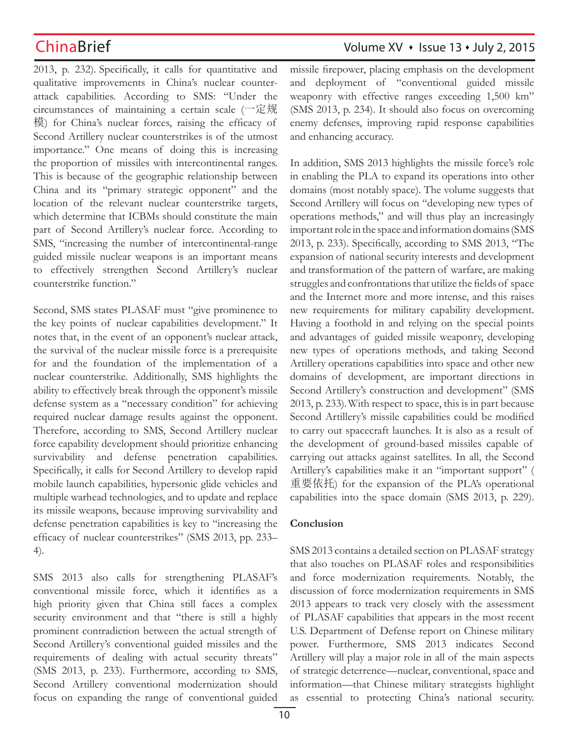2013, p. 232). Specifically, it calls for quantitative and qualitative improvements in China's nuclear counterattack capabilities. According to SMS: "Under the circumstances of maintaining a certain scale (一定规 模) for China's nuclear forces, raising the efficacy of Second Artillery nuclear counterstrikes is of the utmost importance." One means of doing this is increasing the proportion of missiles with intercontinental ranges. This is because of the geographic relationship between China and its "primary strategic opponent" and the location of the relevant nuclear counterstrike targets, which determine that ICBMs should constitute the main part of Second Artillery's nuclear force. According to SMS, "increasing the number of intercontinental-range guided missile nuclear weapons is an important means to effectively strengthen Second Artillery's nuclear counterstrike function."

Second, SMS states PLASAF must "give prominence to the key points of nuclear capabilities development." It notes that, in the event of an opponent's nuclear attack, the survival of the nuclear missile force is a prerequisite for and the foundation of the implementation of a nuclear counterstrike. Additionally, SMS highlights the ability to effectively break through the opponent's missile defense system as a "necessary condition" for achieving required nuclear damage results against the opponent. Therefore, according to SMS, Second Artillery nuclear force capability development should prioritize enhancing survivability and defense penetration capabilities. Specifically, it calls for Second Artillery to develop rapid mobile launch capabilities, hypersonic glide vehicles and multiple warhead technologies, and to update and replace its missile weapons, because improving survivability and defense penetration capabilities is key to "increasing the efficacy of nuclear counterstrikes" (SMS 2013, pp. 233– 4).

SMS 2013 also calls for strengthening PLASAF's conventional missile force, which it identifies as a high priority given that China still faces a complex security environment and that "there is still a highly prominent contradiction between the actual strength of Second Artillery's conventional guided missiles and the requirements of dealing with actual security threats" (SMS 2013, p. 233). Furthermore, according to SMS, Second Artillery conventional modernization should focus on expanding the range of conventional guided missile firepower, placing emphasis on the development and deployment of "conventional guided missile weaponry with effective ranges exceeding 1,500 km" (SMS 2013, p. 234). It should also focus on overcoming enemy defenses, improving rapid response capabilities and enhancing accuracy.

In addition, SMS 2013 highlights the missile force's role in enabling the PLA to expand its operations into other domains (most notably space). The volume suggests that Second Artillery will focus on "developing new types of operations methods," and will thus play an increasingly important role in the space and information domains (SMS 2013, p. 233). Specifically, according to SMS 2013, "The expansion of national security interests and development and transformation of the pattern of warfare, are making struggles and confrontations that utilize the fields of space and the Internet more and more intense, and this raises new requirements for military capability development. Having a foothold in and relying on the special points and advantages of guided missile weaponry, developing new types of operations methods, and taking Second Artillery operations capabilities into space and other new domains of development, are important directions in Second Artillery's construction and development" (SMS 2013, p. 233).With respect to space, this is in part because Second Artillery's missile capabilities could be modified to carry out spacecraft launches. It is also as a result of the development of ground-based missiles capable of carrying out attacks against satellites. In all, the Second Artillery's capabilities make it an "important support" ( 重要依托) for the expansion of the PLA's operational capabilities into the space domain (SMS 2013, p. 229).

### **Conclusion**

SMS 2013 contains a detailed section on PLASAF strategy that also touches on PLASAF roles and responsibilities and force modernization requirements. Notably, the discussion of force modernization requirements in SMS 2013 appears to track very closely with the assessment of PLASAF capabilities that appears in the most recent U.S. Department of Defense report on Chinese military power. Furthermore, SMS 2013 indicates Second Artillery will play a major role in all of the main aspects of strategic deterrence—nuclear, conventional, space and information—that Chinese military strategists highlight as essential to protecting China's national security.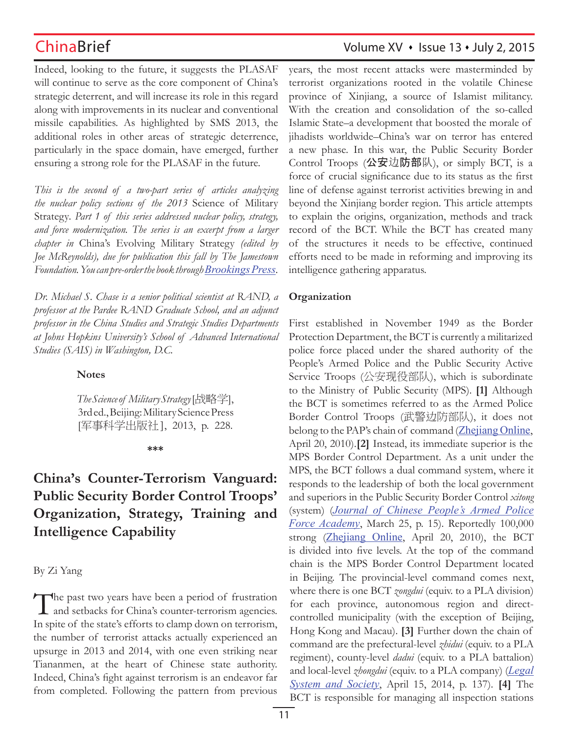Indeed, looking to the future, it suggests the PLASAF will continue to serve as the core component of China's strategic deterrent, and will increase its role in this regard along with improvements in its nuclear and conventional missile capabilities. As highlighted by SMS 2013, the additional roles in other areas of strategic deterrence, particularly in the space domain, have emerged, further ensuring a strong role for the PLASAF in the future.

*This is the second of a two-part series of articles analyzing the nuclear policy sections of the 2013* Science of Military Strategy*. Part 1 of this series addressed nuclear policy, strategy, and force modernization. The series is an excerpt from a larger chapter in* China's Evolving Military Strategy *(edited by Joe McReynolds), due for publication this fall by The Jamestown Foundation. You can pre-order the book through Brookings Press.*

*Dr. Michael S. Chase is a senior political scientist at RAND, a professor at the Pardee RAND Graduate School, and an adjunct professor in the China Studies and Strategic Studies Departments at Johns Hopkins University's School of Advanced International Studies (SAIS) in Washington, D.C.*

### **Notes**

*The Science of Military Strategy* [战略学], 3rd ed., Beijing: Military Science Press [军事科学出版社], 2013, p. 228.

### **\*\*\***

# **China's Counter-Terrorism Vanguard: Public Security Border Control Troops' Organization, Strategy, Training and Intelligence Capability**

By Zi Yang

The past two years have been a period of frustration and setbacks for China's counter-terrorism agencies. In spite of the state's efforts to clamp down on terrorism, the number of terrorist attacks actually experienced an upsurge in 2013 and 2014, with one even striking near Tiananmen, at the heart of Chinese state authority. Indeed, China's fight against terrorism is an endeavor far from completed. Following the pattern from previous

# ChinaBrief Volume XV · Issue 13 · July 2, 2015

years, the most recent attacks were masterminded by terrorist organizations rooted in the volatile Chinese province of Xinjiang, a source of Islamist militancy. With the creation and consolidation of the so-called Islamic State–a development that boosted the morale of jihadists worldwide–China's war on terror has entered a new phase. In this war, the Public Security Border Control Troops (公安边防部队), or simply BCT, is a force of crucial significance due to its status as the first line of defense against terrorist activities brewing in and beyond the Xinjiang border region. This article attempts to explain the origins, organization, methods and track record of the BCT. While the BCT has created many of the structures it needs to be effective, continued efforts need to be made in reforming and improving its intelligence gathering apparatus.

### **Organization**

First established in November 1949 as the Border Protection Department, the BCT is currently a militarized police force placed under the shared authority of the People's Armed Police and the Public Security Active Service Troops (公安现役部队), which is subordinate to the Ministry of Public Security (MPS). **[1]** Although the BCT is sometimes referred to as the Armed Police Border Control Troops (武警边防部队), it does not belong to the PAP's chain of command (Zhejiang Online, April 20, 2010).**[2]** Instead, its immediate superior is the MPS Border Control Department. As a unit under the MPS, the BCT follows a dual command system, where it responds to the leadership of both the local government and superiors in the Public Security Border Control *xitong*  (system) (*Journal of Chinese People's Armed Police Force Academy*, March 25, p. 15). Reportedly 100,000 strong (Zhejiang Online, April 20, 2010), the BCT is divided into five levels. At the top of the command chain is the MPS Border Control Department located in Beijing. The provincial-level command comes next, where there is one BCT *zongdui* (equiv. to a PLA division) for each province, autonomous region and directcontrolled municipality (with the exception of Beijing, Hong Kong and Macau). **[3]** Further down the chain of command are the prefectural-level *zhidui* (equiv. to a PLA regiment), county-level *dadui* (equiv. to a PLA battalion) and local-level *zhongdui* (equiv. to a PLA company) (*Legal System and Society*, April 15, 2014, p. 137). **[4]** The BCT is responsible for managing all inspection stations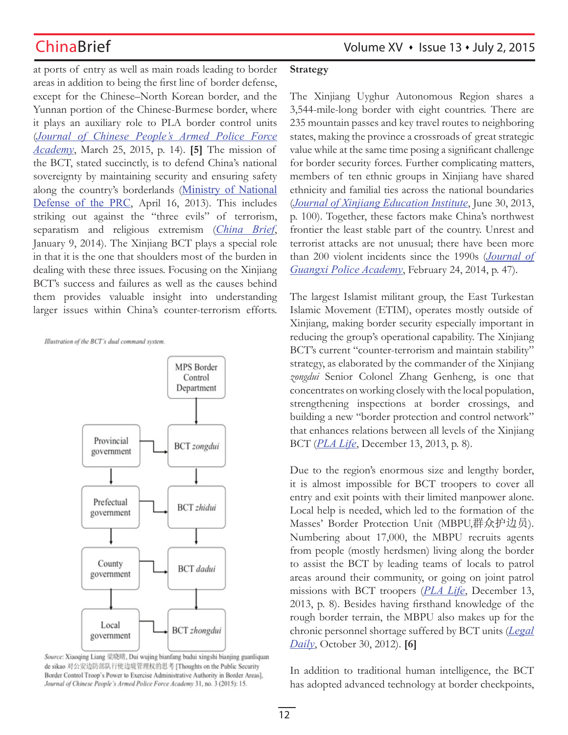at ports of entry as well as main roads leading to border areas in addition to being the first line of border defense, except for the Chinese–North Korean border, and the Yunnan portion of the Chinese-Burmese border, where it plays an auxiliary role to PLA border control units (*Journal of Chinese People's Armed Police Force Academy*, March 25, 2015, p. 14). **[5]** The mission of the BCT, stated succinctly, is to defend China's national sovereignty by maintaining security and ensuring safety along the country's borderlands (Ministry of National Defense of the PRC, April 16, 2013). This includes striking out against the "three evils" of terrorism, separatism and religious extremism (*China Brief*, January 9, 2014). The Xinjiang BCT plays a special role in that it is the one that shoulders most of the burden in dealing with these three issues. Focusing on the Xinjiang BCT's success and failures as well as the causes behind them provides valuable insight into understanding larger issues within China's counter-terrorism efforts.

Illustration of the BCT's dual command system.



Source: Xiaoqing Liang 梁晓晴, Dui wujing bianfang budui xingshi bianjing guanliquan de sikao 对公安边防部队行使边境管理权的思考 [Thoughts on the Public Security Border Control Troop's Power to Exercise Administrative Authority in Border Areas], Journal of Chinese People's Armed Police Force Academy 31, no. 3 (2015): 15.

### **Strategy**

The Xinjiang Uyghur Autonomous Region shares a 3,544-mile-long border with eight countries. There are 235 mountain passes and key travel routes to neighboring states, making the province a crossroads of great strategic value while at the same time posing a significant challenge for border security forces. Further complicating matters, members of ten ethnic groups in Xinjiang have shared ethnicity and familial ties across the national boundaries (*Journal of Xinjiang Education Institute*, June 30, 2013, p. 100). Together, these factors make China's northwest frontier the least stable part of the country. Unrest and terrorist attacks are not unusual; there have been more than 200 violent incidents since the 1990s (*Journal of Guangxi Police Academy*, February 24, 2014, p. 47).

The largest Islamist militant group, the East Turkestan Islamic Movement (ETIM), operates mostly outside of Xinjiang, making border security especially important in reducing the group's operational capability. The Xinjiang BCT's current "counter-terrorism and maintain stability" strategy, as elaborated by the commander of the Xinjiang *zongdui* Senior Colonel Zhang Genheng, is one that concentrates on working closely with the local population, strengthening inspections at border crossings, and building a new "border protection and control network" that enhances relations between all levels of the Xinjiang BCT (*PLA Life*, December 13, 2013, p. 8).

Due to the region's enormous size and lengthy border, it is almost impossible for BCT troopers to cover all entry and exit points with their limited manpower alone. Local help is needed, which led to the formation of the Masses' Border Protection Unit (MBPU,群众护边员). Numbering about 17,000, the MBPU recruits agents from people (mostly herdsmen) living along the border to assist the BCT by leading teams of locals to patrol areas around their community, or going on joint patrol missions with BCT troopers (*PLA Life*, December 13, 2013, p. 8). Besides having firsthand knowledge of the rough border terrain, the MBPU also makes up for the chronic personnel shortage suffered by BCT units (*Legal Daily*, October 30, 2012). **[6]** 

In addition to traditional human intelligence, the BCT has adopted advanced technology at border checkpoints,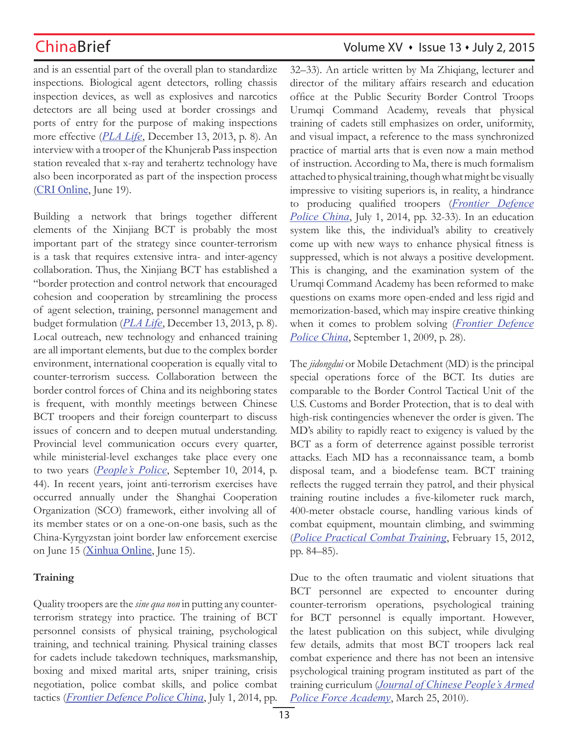and is an essential part of the overall plan to standardize inspections. Biological agent detectors, rolling chassis inspection devices, as well as explosives and narcotics detectors are all being used at border crossings and ports of entry for the purpose of making inspections more effective (*PLA Life*, December 13, 2013, p. 8). An interview with a trooper of the Khunjerab Pass inspection station revealed that x-ray and terahertz technology have also been incorporated as part of the inspection process (CRI Online, June 19).

Building a network that brings together different elements of the Xinjiang BCT is probably the most important part of the strategy since counter-terrorism is a task that requires extensive intra- and inter-agency collaboration. Thus, the Xinjiang BCT has established a "border protection and control network that encouraged cohesion and cooperation by streamlining the process of agent selection, training, personnel management and budget formulation (*PLA Life*, December 13, 2013, p. 8). Local outreach, new technology and enhanced training are all important elements, but due to the complex border environment, international cooperation is equally vital to counter-terrorism success. Collaboration between the border control forces of China and its neighboring states is frequent, with monthly meetings between Chinese BCT troopers and their foreign counterpart to discuss issues of concern and to deepen mutual understanding. Provincial level communication occurs every quarter, while ministerial-level exchanges take place every one to two years (*People's Police*, September 10, 2014, p. 44). In recent years, joint anti-terrorism exercises have occurred annually under the Shanghai Cooperation Organization (SCO) framework, either involving all of its member states or on a one-on-one basis, such as the China-Kyrgyzstan joint border law enforcement exercise on June 15 (Xinhua Online, June 15).

## **Training**

Quality troopers are the *sine qua non* in putting any counterterrorism strategy into practice. The training of BCT personnel consists of physical training, psychological training, and technical training. Physical training classes for cadets include takedown techniques, marksmanship, boxing and mixed marital arts, sniper training, crisis negotiation, police combat skills, and police combat tactics (*Frontier Defence Police China*, July 1, 2014, pp.

# ChinaBrief Volume XV · Issue 13 · July 2, 2015

32–33). An article written by Ma Zhiqiang, lecturer and director of the military affairs research and education office at the Public Security Border Control Troops Urumqi Command Academy, reveals that physical training of cadets still emphasizes on order, uniformity, and visual impact, a reference to the mass synchronized practice of martial arts that is even now a main method of instruction. According to Ma, there is much formalism attached to physical training, though what might be visually impressive to visiting superiors is, in reality, a hindrance to producing qualified troopers (*Frontier Defence Police China*, July 1, 2014, pp. 32-33). In an education system like this, the individual's ability to creatively come up with new ways to enhance physical fitness is suppressed, which is not always a positive development. This is changing, and the examination system of the Urumqi Command Academy has been reformed to make questions on exams more open-ended and less rigid and memorization-based, which may inspire creative thinking when it comes to problem solving (*Frontier Defence Police China*, September 1, 2009, p. 28).

The *jidongdui* or Mobile Detachment (MD) is the principal special operations force of the BCT. Its duties are comparable to the Border Control Tactical Unit of the U.S. Customs and Border Protection, that is to deal with high-risk contingencies whenever the order is given. The MD's ability to rapidly react to exigency is valued by the BCT as a form of deterrence against possible terrorist attacks. Each MD has a reconnaissance team, a bomb disposal team, and a biodefense team. BCT training reflects the rugged terrain they patrol, and their physical training routine includes a five-kilometer ruck march, 400-meter obstacle course, handling various kinds of combat equipment, mountain climbing, and swimming (*Police Practical Combat Training*, February 15, 2012, pp. 84–85).

Due to the often traumatic and violent situations that BCT personnel are expected to encounter during counter-terrorism operations, psychological training for BCT personnel is equally important. However, the latest publication on this subject, while divulging few details, admits that most BCT troopers lack real combat experience and there has not been an intensive psychological training program instituted as part of the training curriculum (*Journal of Chinese People's Armed Police Force Academy*, March 25, 2010).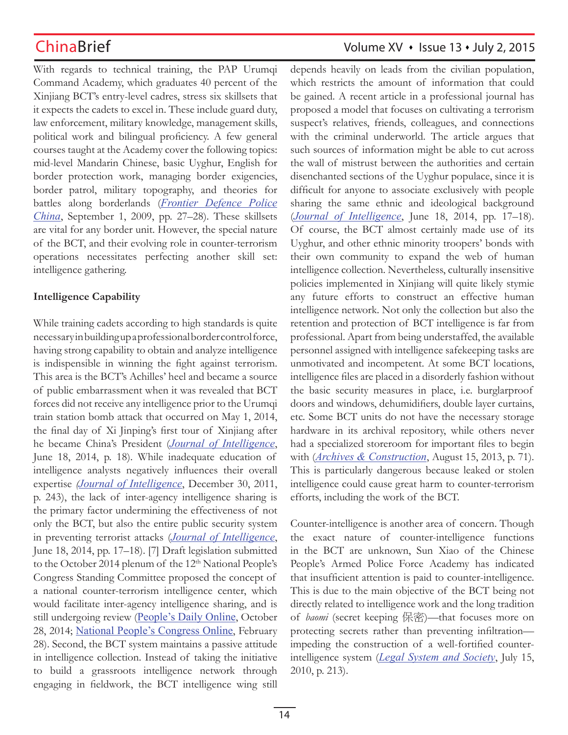With regards to technical training, the PAP Urumqi Command Academy, which graduates 40 percent of the Xinjiang BCT's entry-level cadres, stress six skillsets that it expects the cadets to excel in. These include guard duty, law enforcement, military knowledge, management skills, political work and bilingual proficiency. A few general courses taught at the Academy cover the following topics: mid-level Mandarin Chinese, basic Uyghur, English for border protection work, managing border exigencies, border patrol, military topography, and theories for battles along borderlands (*Frontier Defence Police China*, September 1, 2009, pp. 27–28). These skillsets are vital for any border unit. However, the special nature of the BCT, and their evolving role in counter-terrorism operations necessitates perfecting another skill set: intelligence gathering.

### **Intelligence Capability**

While training cadets according to high standards is quite necessary in building up a professional border control force, having strong capability to obtain and analyze intelligence is indispensible in winning the fight against terrorism. This area is the BCT's Achilles' heel and became a source of public embarrassment when it was revealed that BCT forces did not receive any intelligence prior to the Urumqi train station bomb attack that occurred on May 1, 2014, the final day of Xi Jinping's first tour of Xinjiang after he became China's President (*Journal of Intelligence*, June 18, 2014, p. 18). While inadequate education of intelligence analysts negatively influences their overall expertise *(Journal of Intelligence*, December 30, 2011, p. 243), the lack of inter-agency intelligence sharing is the primary factor undermining the effectiveness of not only the BCT, but also the entire public security system in preventing terrorist attacks (*Journal of Intelligence*, June 18, 2014, pp. 17–18). [7] Draft legislation submitted to the October 2014 plenum of the 12<sup>th</sup> National People's Congress Standing Committee proposed the concept of a national counter-terrorism intelligence center, which would facilitate inter-agency intelligence sharing, and is still undergoing review (People's Daily Online, October 28, 2014; National People's Congress Online, February 28). Second, the BCT system maintains a passive attitude in intelligence collection. Instead of taking the initiative to build a grassroots intelligence network through engaging in fieldwork, the BCT intelligence wing still

# ChinaBrief Volume XV • Issue 13 • July 2, 2015

depends heavily on leads from the civilian population, which restricts the amount of information that could be gained. A recent article in a professional journal has proposed a model that focuses on cultivating a terrorism suspect's relatives, friends, colleagues, and connections with the criminal underworld. The article argues that such sources of information might be able to cut across the wall of mistrust between the authorities and certain disenchanted sections of the Uyghur populace, since it is difficult for anyone to associate exclusively with people sharing the same ethnic and ideological background (*Journal of Intelligence*, June 18, 2014, pp. 17–18). Of course, the BCT almost certainly made use of its Uyghur, and other ethnic minority troopers' bonds with their own community to expand the web of human intelligence collection. Nevertheless, culturally insensitive policies implemented in Xinjiang will quite likely stymie any future efforts to construct an effective human intelligence network. Not only the collection but also the retention and protection of BCT intelligence is far from professional. Apart from being understaffed, the available personnel assigned with intelligence safekeeping tasks are unmotivated and incompetent. At some BCT locations, intelligence files are placed in a disorderly fashion without the basic security measures in place, i.e. burglarproof doors and windows, dehumidifiers, double layer curtains, etc. Some BCT units do not have the necessary storage hardware in its archival repository, while others never had a specialized storeroom for important files to begin with (*Archives & Construction*, August 15, 2013, p. 71). This is particularly dangerous because leaked or stolen intelligence could cause great harm to counter-terrorism efforts, including the work of the BCT.

Counter-intelligence is another area of concern. Though the exact nature of counter-intelligence functions in the BCT are unknown, Sun Xiao of the Chinese People's Armed Police Force Academy has indicated that insufficient attention is paid to counter-intelligence. This is due to the main objective of the BCT being not directly related to intelligence work and the long tradition of *baomi* (secret keeping 保密)—that focuses more on protecting secrets rather than preventing infiltration impeding the construction of a well-fortified counterintelligence system (*Legal System and Society*, July 15, 2010, p. 213).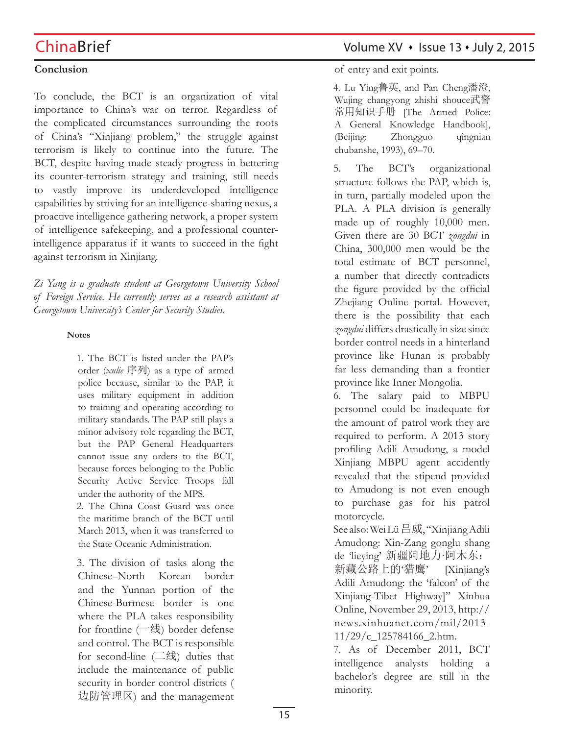## **Conclusion**

To conclude, the BCT is an organization of vital importance to China's war on terror. Regardless of the complicated circumstances surrounding the roots of China's "Xinjiang problem," the struggle against terrorism is likely to continue into the future. The BCT, despite having made steady progress in bettering its counter-terrorism strategy and training, still needs to vastly improve its underdeveloped intelligence capabilities by striving for an intelligence-sharing nexus, a proactive intelligence gathering network, a proper system of intelligence safekeeping, and a professional counterintelligence apparatus if it wants to succeed in the fight against terrorism in Xinjiang.

*Zi Yang is a graduate student at Georgetown University School of Foreign Service. He currently serves as a research assistant at Georgetown University's Center for Security Studies.* 

### **Notes**

1. The BCT is listed under the PAP's order (*xulie* 序列) as a type of armed police because, similar to the PAP, it uses military equipment in addition to training and operating according to military standards. The PAP still plays a minor advisory role regarding the BCT, but the PAP General Headquarters cannot issue any orders to the BCT, because forces belonging to the Public Security Active Service Troops fall under the authority of the MPS.

2. The China Coast Guard was once the maritime branch of the BCT until March 2013, when it was transferred to the State Oceanic Administration.

3. The division of tasks along the Chinese–North Korean border and the Yunnan portion of the Chinese-Burmese border is one where the PLA takes responsibility for frontline (一线) border defense and control. The BCT is responsible for second-line  $(\equiv \frac{4}{3})$  duties that include the maintenance of public security in border control districts ( 边防管理区) and the management

## ChinaBrief Volume XV · Issue 13 · July 2, 2015

of entry and exit points.

4. Lu Ying鲁英, and Pan Cheng潘澄, Wujing changyong zhishi shouce武警 常用知识手册 [The Armed Police: A General Knowledge Handbook], (Beijing: Zhongguo qingnian chubanshe, 1993), 69–70.

5. The BCT's organizational structure follows the PAP, which is, in turn, partially modeled upon the PLA. A PLA division is generally made up of roughly 10,000 men. Given there are 30 BCT *zongdui* in China, 300,000 men would be the total estimate of BCT personnel, a number that directly contradicts the figure provided by the official Zhejiang Online portal. However, there is the possibility that each *zongdui* differs drastically in size since border control needs in a hinterland province like Hunan is probably far less demanding than a frontier province like Inner Mongolia.

6. The salary paid to MBPU personnel could be inadequate for the amount of patrol work they are required to perform. A 2013 story profiling Adili Amudong, a model Xinjiang MBPU agent accidently revealed that the stipend provided to Amudong is not even enough to purchase gas for his patrol motorcycle.

See also: Wei Lü 吕威, "Xinjiang Adili Amudong: Xin-Zang gonglu shang de 'lieying' 新疆阿地力·阿木东:

新藏公路上的'猎鹰' [Xinjiang's Adili Amudong: the 'falcon' of the Xinjiang-Tibet Highway]" Xinhua Online, November 29, 2013, http:// news.xinhuanet.com/mil/2013- 11/29/c\_125784166\_2.htm.

7. As of December 2011, BCT intelligence analysts holding a bachelor's degree are still in the minority.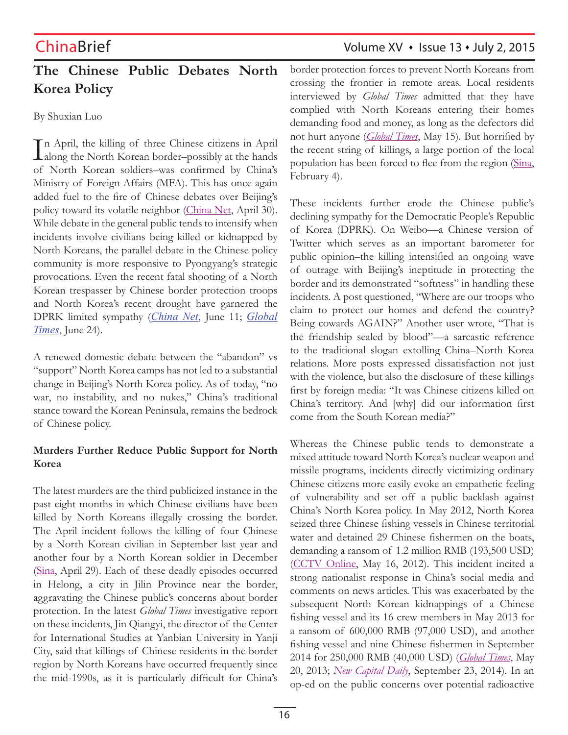# **The Chinese Public Debates North Korea Policy**

By Shuxian Luo

In April, the killing of three Chinese citizens in April<br>along the North Korean border-possibly at the hands  $\perp$ along the North Korean border–possibly at the hands of North Korean soldiers–was confirmed by China's Ministry of Foreign Affairs (MFA). This has once again added fuel to the fire of Chinese debates over Beijing's policy toward its volatile neighbor (China Net, April 30). While debate in the general public tends to intensify when incidents involve civilians being killed or kidnapped by North Koreans, the parallel debate in the Chinese policy community is more responsive to Pyongyang's strategic provocations. Even the recent fatal shooting of a North Korean trespasser by Chinese border protection troops and North Korea's recent drought have garnered the DPRK limited sympathy (*China Net*, June 11; *Global Times*, June 24).

A renewed domestic debate between the "abandon" vs "support" North Korea camps has not led to a substantial change in Beijing's North Korea policy. As of today, "no war, no instability, and no nukes," China's traditional stance toward the Korean Peninsula, remains the bedrock of Chinese policy.

## **Murders Further Reduce Public Support for North Korea**

The latest murders are the third publicized instance in the past eight months in which Chinese civilians have been killed by North Koreans illegally crossing the border. The April incident follows the killing of four Chinese by a North Korean civilian in September last year and another four by a North Korean soldier in December (Sina, April 29). Each of these deadly episodes occurred in Helong, a city in Jilin Province near the border, aggravating the Chinese public's concerns about border protection. In the latest *Global Times* investigative report on these incidents, Jin Qiangyi, the director of the Center for International Studies at Yanbian University in Yanji City, said that killings of Chinese residents in the border region by North Koreans have occurred frequently since the mid-1990s, as it is particularly difficult for China's

ChinaBrief Volume XV · Issue 13 · July 2, 2015

border protection forces to prevent North Koreans from crossing the frontier in remote areas. Local residents interviewed by *Global Times* admitted that they have complied with North Koreans entering their homes demanding food and money, as long as the defectors did not hurt anyone (*Global Times*, May 15). But horrified by the recent string of killings, a large portion of the local population has been forced to flee from the region (Sina, February 4).

These incidents further erode the Chinese public's declining sympathy for the Democratic People's Republic of Korea (DPRK). On Weibo—a Chinese version of Twitter which serves as an important barometer for public opinion–the killing intensified an ongoing wave of outrage with Beijing's ineptitude in protecting the border and its demonstrated "softness" in handling these incidents. A post questioned, "Where are our troops who claim to protect our homes and defend the country? Being cowards AGAIN?" Another user wrote, "That is the friendship sealed by blood"—a sarcastic reference to the traditional slogan extolling China–North Korea relations. More posts expressed dissatisfaction not just with the violence, but also the disclosure of these killings first by foreign media: "It was Chinese citizens killed on China's territory. And [why] did our information first come from the South Korean media?"

Whereas the Chinese public tends to demonstrate a mixed attitude toward North Korea's nuclear weapon and missile programs, incidents directly victimizing ordinary Chinese citizens more easily evoke an empathetic feeling of vulnerability and set off a public backlash against China's North Korea policy. In May 2012, North Korea seized three Chinese fishing vessels in Chinese territorial water and detained 29 Chinese fishermen on the boats, demanding a ransom of 1.2 million RMB (193,500 USD) (CCTV Online, May 16, 2012). This incident incited a strong nationalist response in China's social media and comments on news articles. This was exacerbated by the subsequent North Korean kidnappings of a Chinese fishing vessel and its 16 crew members in May 2013 for a ransom of 600,000 RMB (97,000 USD), and another fishing vessel and nine Chinese fishermen in September 2014 for 250,000 RMB (40,000 USD) (*Global Times*, May 20, 2013; *New Capital Daily*, September 23, 2014). In an op-ed on the public concerns over potential radioactive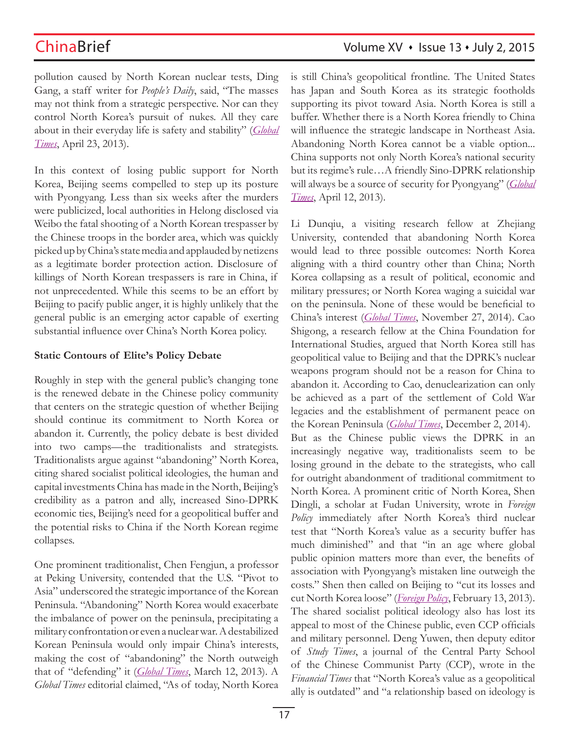pollution caused by North Korean nuclear tests, Ding Gang, a staff writer for *People's Daily*, said, "The masses may not think from a strategic perspective. Nor can they control North Korea's pursuit of nukes. All they care about in their everyday life is safety and stability" (*Global Times*, April 23, 2013).

In this context of losing public support for North Korea, Beijing seems compelled to step up its posture with Pyongyang. Less than six weeks after the murders were publicized, local authorities in Helong disclosed via Weibo the fatal shooting of a North Korean trespasser by the Chinese troops in the border area, which was quickly picked up by China's state media and applauded by netizens as a legitimate border protection action. Disclosure of killings of North Korean trespassers is rare in China, if not unprecedented. While this seems to be an effort by Beijing to pacify public anger, it is highly unlikely that the general public is an emerging actor capable of exerting substantial influence over China's North Korea policy.

### **Static Contours of Elite's Policy Debate**

Roughly in step with the general public's changing tone is the renewed debate in the Chinese policy community that centers on the strategic question of whether Beijing should continue its commitment to North Korea or abandon it. Currently, the policy debate is best divided into two camps—the traditionalists and strategists. Traditionalists argue against "abandoning" North Korea, citing shared socialist political ideologies, the human and capital investments China has made in the North, Beijing's credibility as a patron and ally, increased Sino-DPRK economic ties, Beijing's need for a geopolitical buffer and the potential risks to China if the North Korean regime collapses.

One prominent traditionalist, Chen Fengjun, a professor at Peking University, contended that the U.S. "Pivot to Asia" underscored the strategic importance of the Korean Peninsula. "Abandoning" North Korea would exacerbate the imbalance of power on the peninsula, precipitating a military confrontation or even a nuclear war. A destabilized Korean Peninsula would only impair China's interests, making the cost of "abandoning" the North outweigh that of "defending" it (*Global Times*, March 12, 2013). A *Global Times* editorial claimed, "As of today, North Korea is still China's geopolitical frontline. The United States has Japan and South Korea as its strategic footholds supporting its pivot toward Asia. North Korea is still a buffer. Whether there is a North Korea friendly to China will influence the strategic landscape in Northeast Asia. Abandoning North Korea cannot be a viable option... China supports not only North Korea's national security but its regime's rule…A friendly Sino-DPRK relationship will always be a source of security for Pyongyang" (*Global Times*, April 12, 2013).

Li Dunqiu, a visiting research fellow at Zhejiang University, contended that abandoning North Korea would lead to three possible outcomes: North Korea aligning with a third country other than China; North Korea collapsing as a result of political, economic and military pressures; or North Korea waging a suicidal war on the peninsula. None of these would be beneficial to China's interest (*Global Times*, November 27, 2014). Cao Shigong, a research fellow at the China Foundation for International Studies, argued that North Korea still has geopolitical value to Beijing and that the DPRK's nuclear weapons program should not be a reason for China to abandon it. According to Cao, denuclearization can only be achieved as a part of the settlement of Cold War legacies and the establishment of permanent peace on the Korean Peninsula (*Global Times*, December 2, 2014). But as the Chinese public views the DPRK in an increasingly negative way, traditionalists seem to be losing ground in the debate to the strategists, who call for outright abandonment of traditional commitment to North Korea. A prominent critic of North Korea, Shen Dingli, a scholar at Fudan University, wrote in *Foreign*  Policy immediately after North Korea's third nuclear test that "North Korea's value as a security buffer has much diminished" and that "in an age where global public opinion matters more than ever, the benefits of association with Pyongyang's mistaken line outweigh the costs." Shen then called on Beijing to "cut its losses and cut North Korea loose" (*Foreign Policy*, February 13, 2013). The shared socialist political ideology also has lost its appeal to most of the Chinese public, even CCP officials and military personnel. Deng Yuwen, then deputy editor of *Study Times*, a journal of the Central Party School of the Chinese Communist Party (CCP), wrote in the *Financial Times* that "North Korea's value as a geopolitical ally is outdated" and "a relationship based on ideology is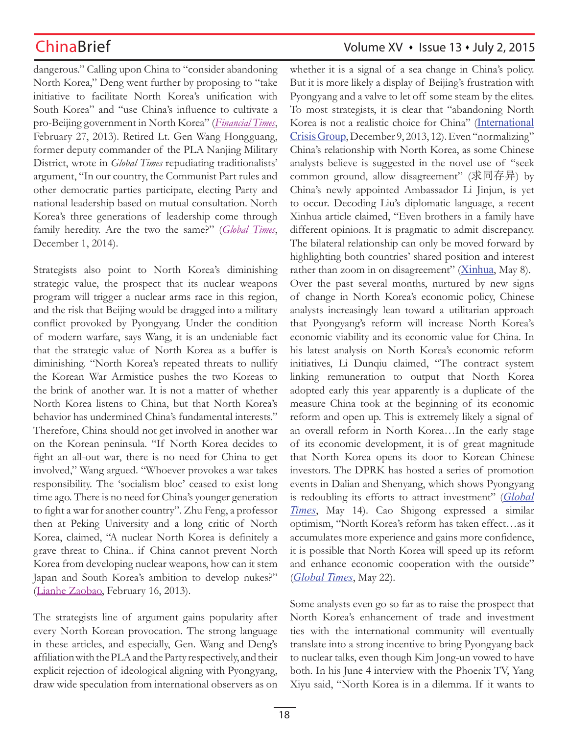dangerous." Calling upon China to "consider abandoning North Korea," Deng went further by proposing to "take initiative to facilitate North Korea's unification with South Korea" and "use China's influence to cultivate a pro-Beijing government in North Korea" (*Financial Times*, February 27, 2013). Retired Lt. Gen Wang Hongguang, former deputy commander of the PLA Nanjing Military District, wrote in *Global Times* repudiating traditionalists' argument, "In our country, the Communist Part rules and other democratic parties participate, electing Party and national leadership based on mutual consultation. North Korea's three generations of leadership come through family heredity. Are the two the same?" (*Global Times*, December 1, 2014).

Strategists also point to North Korea's diminishing strategic value, the prospect that its nuclear weapons program will trigger a nuclear arms race in this region, and the risk that Beijing would be dragged into a military conflict provoked by Pyongyang. Under the condition of modern warfare, says Wang, it is an undeniable fact that the strategic value of North Korea as a buffer is diminishing. "North Korea's repeated threats to nullify the Korean War Armistice pushes the two Koreas to the brink of another war. It is not a matter of whether North Korea listens to China, but that North Korea's behavior has undermined China's fundamental interests." Therefore, China should not get involved in another war on the Korean peninsula. "If North Korea decides to fight an all-out war, there is no need for China to get involved," Wang argued. "Whoever provokes a war takes responsibility. The 'socialism bloc' ceased to exist long time ago. There is no need for China's younger generation to fight a war for another country". Zhu Feng, a professor then at Peking University and a long critic of North Korea, claimed, "A nuclear North Korea is definitely a grave threat to China.. if China cannot prevent North Korea from developing nuclear weapons, how can it stem Japan and South Korea's ambition to develop nukes?" (Lianhe Zaobao, February 16, 2013).

The strategists line of argument gains popularity after every North Korean provocation. The strong language in these articles, and especially, Gen. Wang and Deng's affiliation with the PLA and the Party respectively, and their explicit rejection of ideological aligning with Pyongyang, draw wide speculation from international observers as on

# ChinaBrief Volume XV • Issue 13 • July 2, 2015

whether it is a signal of a sea change in China's policy. But it is more likely a display of Beijing's frustration with Pyongyang and a valve to let off some steam by the elites. To most strategists, it is clear that "abandoning North Korea is not a realistic choice for China" (International Crisis Group, December 9, 2013, 12). Even "normalizing" China's relationship with North Korea, as some Chinese analysts believe is suggested in the novel use of "seek common ground, allow disagreement" (求同存异) by China's newly appointed Ambassador Li Jinjun, is yet to occur. Decoding Liu's diplomatic language, a recent Xinhua article claimed, "Even brothers in a family have different opinions. It is pragmatic to admit discrepancy. The bilateral relationship can only be moved forward by highlighting both countries' shared position and interest rather than zoom in on disagreement" (Xinhua, May 8). Over the past several months, nurtured by new signs of change in North Korea's economic policy, Chinese analysts increasingly lean toward a utilitarian approach that Pyongyang's reform will increase North Korea's economic viability and its economic value for China. In his latest analysis on North Korea's economic reform initiatives, Li Dunqiu claimed, "The contract system linking remuneration to output that North Korea adopted early this year apparently is a duplicate of the measure China took at the beginning of its economic reform and open up. This is extremely likely a signal of an overall reform in North Korea…In the early stage of its economic development, it is of great magnitude that North Korea opens its door to Korean Chinese investors. The DPRK has hosted a series of promotion events in Dalian and Shenyang, which shows Pyongyang is redoubling its efforts to attract investment" (*Global Times*, May 14). Cao Shigong expressed a similar optimism, "North Korea's reform has taken effect…as it accumulates more experience and gains more confidence, it is possible that North Korea will speed up its reform and enhance economic cooperation with the outside" (*Global Times*, May 22).

Some analysts even go so far as to raise the prospect that North Korea's enhancement of trade and investment ties with the international community will eventually translate into a strong incentive to bring Pyongyang back to nuclear talks, even though Kim Jong-un vowed to have both. In his June 4 interview with the Phoenix TV, Yang Xiyu said, "North Korea is in a dilemma. If it wants to